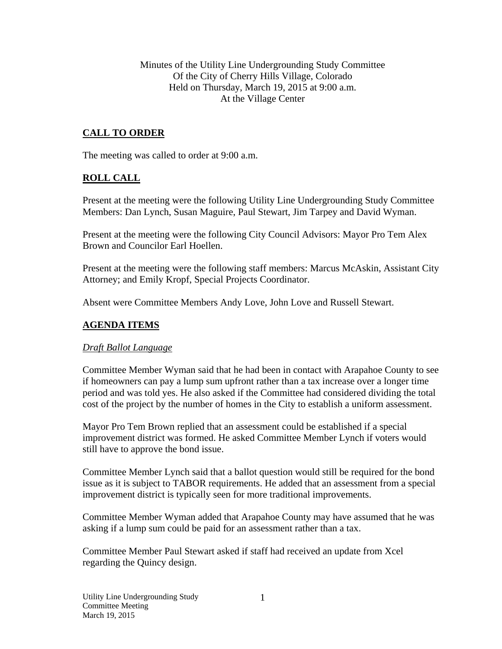Minutes of the Utility Line Undergrounding Study Committee Of the City of Cherry Hills Village, Colorado Held on Thursday, March 19, 2015 at 9:00 a.m. At the Village Center

## **CALL TO ORDER**

The meeting was called to order at 9:00 a.m.

## **ROLL CALL**

Present at the meeting were the following Utility Line Undergrounding Study Committee Members: Dan Lynch, Susan Maguire, Paul Stewart, Jim Tarpey and David Wyman.

Present at the meeting were the following City Council Advisors: Mayor Pro Tem Alex Brown and Councilor Earl Hoellen.

Present at the meeting were the following staff members: Marcus McAskin, Assistant City Attorney; and Emily Kropf, Special Projects Coordinator.

Absent were Committee Members Andy Love, John Love and Russell Stewart.

#### **AGENDA ITEMS**

#### *Draft Ballot Language*

Committee Member Wyman said that he had been in contact with Arapahoe County to see if homeowners can pay a lump sum upfront rather than a tax increase over a longer time period and was told yes. He also asked if the Committee had considered dividing the total cost of the project by the number of homes in the City to establish a uniform assessment.

Mayor Pro Tem Brown replied that an assessment could be established if a special improvement district was formed. He asked Committee Member Lynch if voters would still have to approve the bond issue.

Committee Member Lynch said that a ballot question would still be required for the bond issue as it is subject to TABOR requirements. He added that an assessment from a special improvement district is typically seen for more traditional improvements.

Committee Member Wyman added that Arapahoe County may have assumed that he was asking if a lump sum could be paid for an assessment rather than a tax.

Committee Member Paul Stewart asked if staff had received an update from Xcel regarding the Quincy design.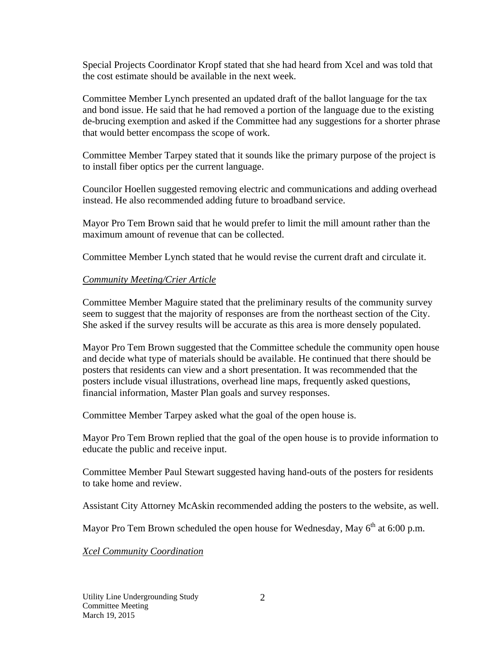Special Projects Coordinator Kropf stated that she had heard from Xcel and was told that the cost estimate should be available in the next week.

Committee Member Lynch presented an updated draft of the ballot language for the tax and bond issue. He said that he had removed a portion of the language due to the existing de-brucing exemption and asked if the Committee had any suggestions for a shorter phrase that would better encompass the scope of work.

Committee Member Tarpey stated that it sounds like the primary purpose of the project is to install fiber optics per the current language.

Councilor Hoellen suggested removing electric and communications and adding overhead instead. He also recommended adding future to broadband service.

Mayor Pro Tem Brown said that he would prefer to limit the mill amount rather than the maximum amount of revenue that can be collected.

Committee Member Lynch stated that he would revise the current draft and circulate it.

## *Community Meeting/Crier Article*

Committee Member Maguire stated that the preliminary results of the community survey seem to suggest that the majority of responses are from the northeast section of the City. She asked if the survey results will be accurate as this area is more densely populated.

Mayor Pro Tem Brown suggested that the Committee schedule the community open house and decide what type of materials should be available. He continued that there should be posters that residents can view and a short presentation. It was recommended that the posters include visual illustrations, overhead line maps, frequently asked questions, financial information, Master Plan goals and survey responses.

Committee Member Tarpey asked what the goal of the open house is.

Mayor Pro Tem Brown replied that the goal of the open house is to provide information to educate the public and receive input.

Committee Member Paul Stewart suggested having hand-outs of the posters for residents to take home and review.

Assistant City Attorney McAskin recommended adding the posters to the website, as well.

Mayor Pro Tem Brown scheduled the open house for Wednesday, May  $6<sup>th</sup>$  at 6:00 p.m.

*Xcel Community Coordination*